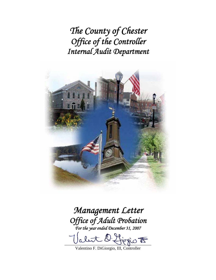*The County of Chester Office of the Controller Internal Audit Department* 



# *Management Letter Office of Adult Probation For the year ended December 31, 2007*

 $\exists \vec{r}$  copy to

Valentino F. DiGiorgio, III, Controller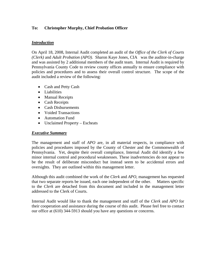## **To: Christopher Murphy, Chief Probation Officer**

## *Introduction*

On April 18, 2008, Internal Audit completed an audit of the *Office of the Clerk of Courts (Clerk)* and *Adult Probation (APO).* Sharon Kaye Jones, CIA was the auditor-in-charge and was assisted by 2 additional members of the audit team. Internal Audit is required by Pennsylvania County Code to review county offices annually to ensure compliance with policies and procedures and to assess their overall control structure. The scope of the audit included a review of the following:

- Cash and Petty Cash
- Liabilities
- Manual Receipts
- Cash Receipts
- Cash Disbursements
- Voided Transactions
- Automation Fund
- Unclaimed Property Escheats

#### *Executive Summary*

The management and staff of *APO* are, in all material respects, in compliance with policies and procedures imposed by the County of Chester and the Commonwealth of Pennsylvania. Yet, despite their overall compliance, Internal Audit did identify a few minor internal control and procedural weaknesses. These inadvertencies do not appear to be the result of deliberate misconduct but instead seem to be accidental errors and oversights. They are outlined within this management letter.

Although this audit combined the work of the *Clerk* and *APO,* management has requested that two separate reports be issued, each one independent of the other. Matters specific to the *Clerk* are detached from this document and included in the management letter addressed to the Clerk of Courts.

Internal Audit would like to thank the management and staff of the *Clerk* and *APO* for their cooperation and assistance during the course of this audit. Please feel free to contact our office at (610) 344-5913 should you have any questions or concerns.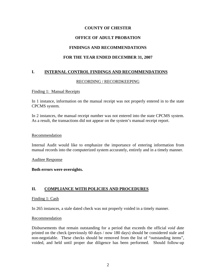## **COUNTY OF CHESTER**

## **OFFICE OF ADULT PROBATION**

#### **FINDINGS AND RECOMMENDATIONS**

#### **FOR THE YEAR ENDED DECEMBER 31, 2007**

#### **I. INTERNAL CONTROL FINDINGS AND RECOMMENDATIONS**

#### RECORDING / RECORDKEEPING

#### Finding 1: Manual Receipts

In 1 instance, information on the manual receipt was not properly entered in to the state CPCMS system.

In 2 instances, the manual receipt number was not entered into the state CPCMS system. As a result, the transactions did not appear on the system's manual receipt report.

#### Recommendation

Internal Audit would like to emphasize the importance of entering information from manual records into the computerized system accurately, entirely and in a timely manner.

#### Auditee Response

#### **Both errors were oversights.**

## **II. COMPLIANCE WITH POLICIES AND PROCEDURES**

#### Finding 1: Cash

In 265 instances, a stale dated check was not properly voided in a timely manner.

#### Recommendation

Disbursements that remain outstanding for a period that exceeds the official *void date* printed on the check (previously 60 days / now 180 days) should be considered stale and non-negotiable. These checks should be removed from the list of "outstanding items", voided, and held until proper due diligence has been performed. Should follow-up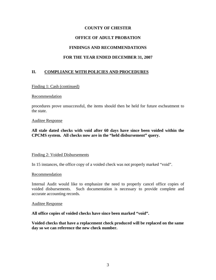## **COUNTY OF CHESTER**

## **OFFICE OF ADULT PROBATION**

## **FINDINGS AND RECOMMENDATIONS**

## **FOR THE YEAR ENDED DECEMBER 31, 2007**

## **II. COMPLIANCE WITH POLICIES AND PROCEDURES**

#### Finding 1: Cash (continued)

#### Recommendation

procedures prove unsuccessful, the items should then be held for future escheatment to the state.

#### Auditee Response

**All stale dated checks with void after 60 days have since been voided within the CPCMS system. All checks now are in the "held disbursement" query.** 

#### Finding 2: Voided Disbursements

In 15 instances, the office copy of a voided check was not properly marked "void".

#### Recommendation

Internal Audit would like to emphasize the need to properly cancel office copies of voided disbursements. Such documentation is necessary to provide complete and accurate accounting records.

#### Auditee Response

**All office copies of voided checks have since been marked "void".** 

**Voided checks that have a replacement check produced will be replaced on the same day so we can reference the new check number.**